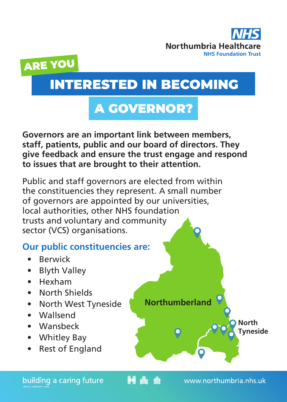



# INTERESTED IN BECOMING

# A GOVERNOR?

**Governors are an important link between members, staff, patients, public and our board of directors. They give feedback and ensure the trust engage and respond to issues that are brought to their attention.** 

Public and staff governors are elected from within the constituencies they represent. A small number of governors are appointed by our universities, local authorities, other NHS foundation trusts and voluntary and community sector (VCS) organisations.

# **Our public constituencies are:**

- **Berwick**
- **Blyth Valley**
- Hexham
- North Shields
- North West Tyneside
- Wallsend
- Wansbeck
- Whitley Bay
- Rest of England

**Northumberland**

**HA** 



www.northumbria.nhs.uk

**North Tyneside**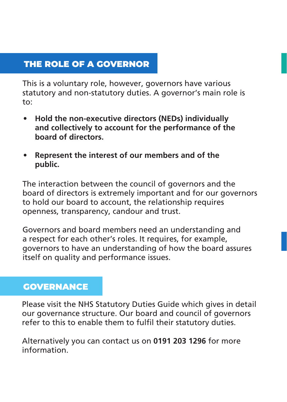# THE ROLE OF A GOVERNOR

This is a voluntary role, however, governors have various statutory and non-statutory duties. A governor's main role is to:

- **• Hold the non-executive directors (NEDs) individually and collectively to account for the performance of the board of directors.**
- **• Represent the interest of our members and of the public.**

The interaction between the council of governors and the board of directors is extremely important and for our governors to hold our board to account, the relationship requires openness, transparency, candour and trust.

Governors and board members need an understanding and a respect for each other's roles. It requires, for example, governors to have an understanding of how the board assures itself on quality and performance issues.

#### **GOVERNANCE**

Please visit the NHS Statutory Duties Guide which gives in detail our governance structure. Our board and council of governors refer to this to enable them to fulfil their statutory duties.

Alternatively you can contact us on **0191 203 1296** for more information.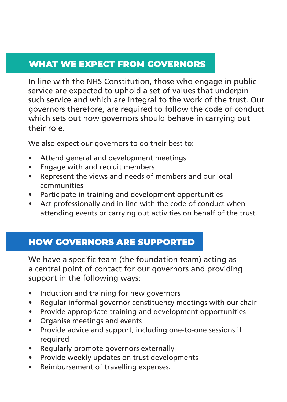# WHAT WE EXPECT FROM GOVERNORS

In line with the NHS Constitution, those who engage in public service are expected to uphold a set of values that underpin such service and which are integral to the work of the trust. Our governors therefore, are required to follow the code of conduct which sets out how governors should behave in carrying out their role.

We also expect our governors to do their best to:

- Attend general and development meetings
- Engage with and recruit members
- Represent the views and needs of members and our local communities
- Participate in training and development opportunities
- Act professionally and in line with the code of conduct when attending events or carrying out activities on behalf of the trust.

# HOW GOVERNORS ARE SUPPORTED

We have a specific team (the foundation team) acting as a central point of contact for our governors and providing support in the following ways:

- Induction and training for new governors
- Regular informal governor constituency meetings with our chair
- Provide appropriate training and development opportunities
- Organise meetings and events
- Provide advice and support, including one-to-one sessions if required
- Regularly promote governors externally
- Provide weekly updates on trust developments
- Reimbursement of travelling expenses.